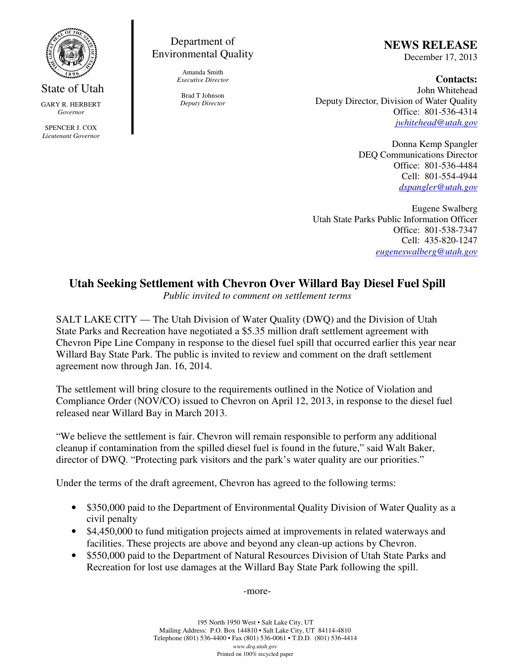

## State of Utah

GARY R. HERBERT *Governor*

SPENCER J. COX *Lieutenant Governor*

## Department of Environmental Quality

Amanda Smith *Executive Director*

Brad T Johnson *Deputy Director* **NEWS RELEASE**

December 17, 2013

**Contacts:** John Whitehead Deputy Director, Division of Water Quality Office: 801-536-4314 *jwhitehead@utah.gov*

> Donna Kemp Spangler DEQ Communications Director Office: 801-536-4484 Cell: 801-554-4944 *dspangler@utah.gov*

Eugene Swalberg Utah State Parks Public Information Officer Office: 801-538-7347 Cell: 435-820-1247 *eugeneswalberg@utah.gov*

## **Utah Seeking Settlement with Chevron Over Willard Bay Diesel Fuel Spill**

*Public invited to comment on settlement terms*

SALT LAKE CITY — The Utah Division of Water Quality (DWQ) and the Division of Utah State Parks and Recreation have negotiated a \$5.35 million draft settlement agreement with Chevron Pipe Line Company in response to the diesel fuel spill that occurred earlier this year near Willard Bay State Park. The public is invited to review and comment on the draft settlement agreement now through Jan. 16, 2014.

The settlement will bring closure to the requirements outlined in the Notice of Violation and Compliance Order (NOV/CO) issued to Chevron on April 12, 2013, in response to the diesel fuel released near Willard Bay in March 2013.

"We believe the settlement is fair. Chevron will remain responsible to perform any additional cleanup if contamination from the spilled diesel fuel is found in the future," said Walt Baker, director of DWQ. "Protecting park visitors and the park's water quality are our priorities."

Under the terms of the draft agreement, Chevron has agreed to the following terms:

- \$350,000 paid to the Department of Environmental Quality Division of Water Quality as a civil penalty
- \$4,450,000 to fund mitigation projects aimed at improvements in related waterways and facilities. These projects are above and beyond any clean-up actions by Chevron.
- \$550,000 paid to the Department of Natural Resources Division of Utah State Parks and Recreation for lost use damages at the Willard Bay State Park following the spill.

-more-